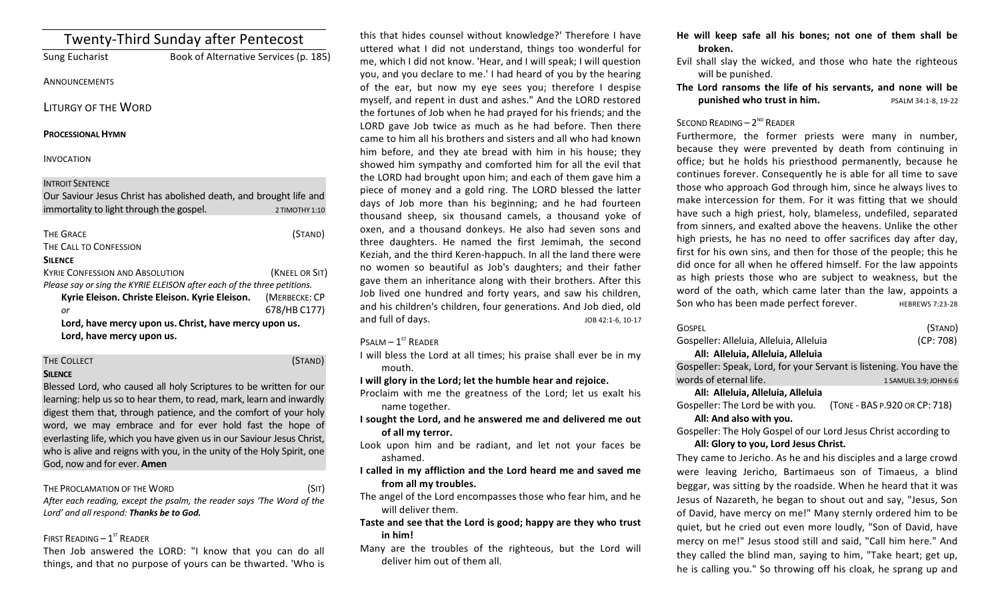| <b>Twenty-Third Sunday after Pentecost</b>                              |                                                                    |  |
|-------------------------------------------------------------------------|--------------------------------------------------------------------|--|
| <b>Sung Eucharist</b>                                                   | Book of Alternative Services (p. 185)                              |  |
| <b>ANNOUNCEMENTS</b>                                                    |                                                                    |  |
| <b>LITURGY OF THE WORD</b>                                              |                                                                    |  |
| <b>PROCESSIONAL HYMN</b>                                                |                                                                    |  |
| <b>INVOCATION</b>                                                       |                                                                    |  |
| <b>INTROIT SENTENCE</b>                                                 |                                                                    |  |
|                                                                         | Our Saviour Jesus Christ has abolished death, and brought life and |  |
| immortality to light through the gospel.                                | 2 TIMOTHY 1:10                                                     |  |
| <b>THE GRACE</b>                                                        | (STAND)                                                            |  |
| THE CALL TO CONFESSION                                                  |                                                                    |  |
| <b>SILENCE</b>                                                          |                                                                    |  |
| <b>KYRIE CONFESSION AND ABSOLUTION</b>                                  | (KNEEL OR SIT)                                                     |  |
| Please say or sing the KYRIE ELEISON after each of the three petitions. |                                                                    |  |
| Kyrie Eleison. Christe Eleison. Kyrie Eleison.                          | (MERBECKE: CP                                                      |  |
| or                                                                      | 678/HB C177)                                                       |  |
| Lord, have mercy upon us. Christ, have mercy upon us.                   |                                                                    |  |
| Lord, have mercy upon us.                                               |                                                                    |  |

### THE COLLECT **THE COLLECT COLLECT COLLECT COLLECT COLLECT COLLECT COLLECT COLLECT COLLECT COLLECT**

#### **SILENCE**

Blessed Lord, who caused all holy Scriptures to be written for our learning: help us so to hear them, to read, mark, learn and inwardly digest them that, through patience, and the comfort of your holy word, we may embrace and for ever hold fast the hope of everlasting life, which you have given us in our Saviour Jesus Christ, who is alive and reigns with you, in the unity of the Holy Spirit, one God, now and for ever. **Amen** 

### THE PROCLAMATION OF THE WORD (SIT)

After each reading, except the psalm, the reader says 'The Word of the Lord' and all respond: **Thanks be to God.** 

## FIRST READING  $-1^\text{ST}$  READER

Then Job answered the LORD: "I know that you can do all things, and that no purpose of yours can be thwarted. 'Who is

this that hides counsel without knowledge?' Therefore I have uttered what I did not understand, things too wonderful for me, which I did not know. 'Hear, and I will speak; I will question you, and you declare to me.' I had heard of you by the hearing of the ear, but now my eye sees you; therefore I despise myself, and repent in dust and ashes." And the LORD restored the fortunes of Job when he had prayed for his friends; and the LORD gave Job twice as much as he had before. Then there came to him all his brothers and sisters and all who had known him before, and they ate bread with him in his house; they showed him sympathy and comforted him for all the evil that the LORD had brought upon him; and each of them gave him a piece of money and a gold ring. The LORD blessed the latter days of Job more than his beginning; and he had fourteen thousand sheep, six thousand camels, a thousand yoke of oxen, and a thousand donkeys. He also had seven sons and three daughters. He named the first Jemimah, the second Keziah, and the third Keren-happuch. In all the land there were no women so beautiful as Job's daughters; and their father gave them an inheritance along with their brothers. After this Job lived one hundred and forty years, and saw his children, and his children's children, four generations. And Job died, old and full of days. The same state of the state of the state of the state of the state of the state of the state of the state of the state of the state of the state of the state of the state of the state of the state of the

## $P$ SALM –  $1<sup>ST</sup>$  READER

- I will bless the Lord at all times; his praise shall ever be in my mouth.
- **I** will glory in the Lord; let the humble hear and rejoice.
- Proclaim with me the greatness of the Lord; let us exalt his name together.
- **I** sought the Lord, and he answered me and delivered me out of all my terror.
- Look upon him and be radiant, and let not your faces be ashamed.
- **I** called in my affliction and the Lord heard me and saved me from all my troubles.
- The angel of the Lord encompasses those who fear him, and he will deliver them.
- **Taste and see that the Lord is good; happy are they who trust in him!**
- Many are the troubles of the righteous, but the Lord will deliver him out of them all.
- He will keep safe all his bones; not one of them shall be **broken.**
- Evil shall slay the wicked, and those who hate the righteous will be punished.
- The Lord ransoms the life of his servants, and none will be **punished who trust in him.** PSALM 34:1-8, 19-22

# SECOND READING  $- 2<sup>ND</sup>$  READER

Furthermore, the former priests were many in number, because they were prevented by death from continuing in office; but he holds his priesthood permanently, because he continues forever. Consequently he is able for all time to save those who approach God through him, since he always lives to make intercession for them. For it was fitting that we should have such a high priest, holy, blameless, undefiled, separated from sinners, and exalted above the heavens. Unlike the other high priests, he has no need to offer sacrifices day after day, first for his own sins, and then for those of the people; this he did once for all when he offered himself. For the law appoints as high priests those who are subject to weakness, but the word of the oath, which came later than the law, appoints a Son who has been made perfect forever. HEBREWS 7:23-28

| GOSPEL                                                              | (STAND)                       |  |
|---------------------------------------------------------------------|-------------------------------|--|
| (CP: 708)<br>Gospeller: Alleluia, Alleluia, Alleluia                |                               |  |
| All: Alleluia, Alleluia, Alleluia                                   |                               |  |
| Gospeller: Speak, Lord, for your Servant is listening. You have the |                               |  |
| words of eternal life.                                              | 1 SAMUEL 3:9; JOHN 6:6        |  |
| All: Alleluia, Alleluia, Alleluia                                   |                               |  |
| Gospeller: The Lord be with you.                                    | (TONE - BAS P.920 OR CP: 718) |  |
| All: And also with you.                                             |                               |  |
| Gospeller: The Holy Gospel of our Lord Jesus Christ according to    |                               |  |
| All: Glory to you, Lord Jesus Christ.                               |                               |  |
| They came to Jericho. As he and his disciples and a large crowd     |                               |  |
| were leaving Jericho, Bartimaeus son of Timaeus, a blind            |                               |  |
| beggar, was sitting by the roadside. When he heard that it was      |                               |  |
| Jesus of Nazareth, he began to shout out and say, "Jesus, Son       |                               |  |
| of David, have mercy on mel" Many sternly ordered him to be         |                               |  |

of David, have mercy on me!" Many sternly ordered him to be quiet, but he cried out even more loudly, "Son of David, have mercy on me!" Jesus stood still and said, "Call him here." And they called the blind man, saying to him, "Take heart; get up, he is calling you." So throwing off his cloak, he sprang up and